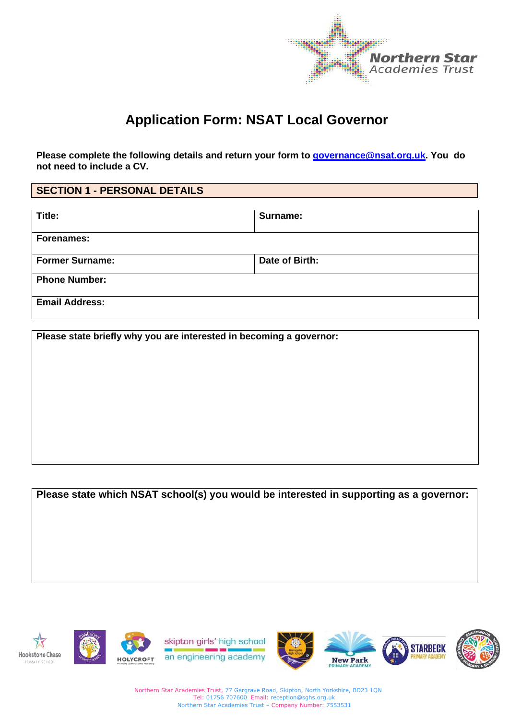

## **Application Form: NSAT Local Governor**

**Please complete the following details and return your form to [governance@nsat.org.uk.](mailto:governance@nsat.org.uk) You do not need to include a CV.**

## **SECTION 1 - PERSONAL DETAILS**

| Title:                 | Surname:       |
|------------------------|----------------|
| <b>Forenames:</b>      |                |
| <b>Former Surname:</b> | Date of Birth: |
| <b>Phone Number:</b>   |                |
| <b>Email Address:</b>  |                |

**Please state briefly why you are interested in becoming a governor:**

**Please state which NSAT school(s) you would be interested in supporting as a governor:**





skipton girls' high school an engineering academy



Northern Star Academies Trust, 77 Gargrave Road, Skipton, North Yorkshire, BD23 1QN Tel: 01756 707600 Email: reception@sghs.org.uk Northern Star Academies Trust – Company Number: 7553531